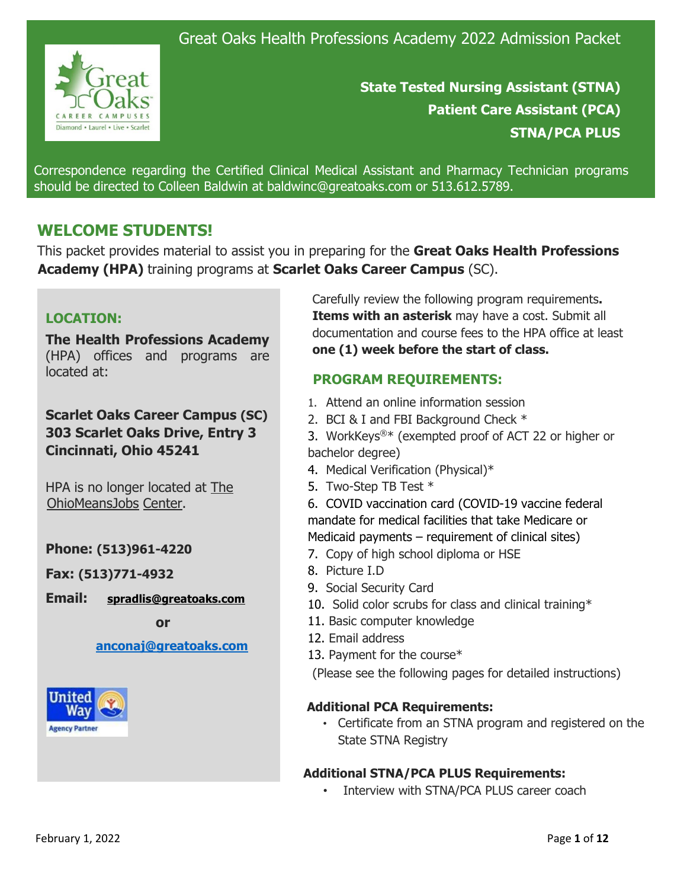

**State Tested Nursing Assistant (STNA) Patient Care Assistant (PCA) STNA/PCA PLUS** 

Correspondence regarding the Certified Clinical Medical Assistant and Pharmacy Technician programs should be directed to Colleen Baldwin at baldwinc@greatoaks.com or 513.612.5789.

# **WELCOME STUDENTS!**

This packet provides material to assist you in preparing for the **Great Oaks Health Professions Academy (HPA)** training programs at **Scarlet Oaks Career Campus** (SC).

# **LOCATION:**

**The Health Professions Academy** (HPA) offices and programs are located at:

**Scarlet Oaks Career Campus (SC) 303 Scarlet Oaks Drive, Entry 3 Cincinnati, Ohio 45241**

HPA is no longer located at The OhioMeansJobs Center.

# **Phone: (513)961-4220**

**Fax: (513)771-4932**

**Email: [spradlis@greatoaks.com](mailto:spradlis@greatoaks.com)**

 **or**

### **[anconaj@greatoaks.com](mailto:anconaj@greatoaks.com)**



Carefully review the following program requirements**. Items with an asterisk** may have a cost. Submit all documentation and course fees to the HPA office at least **one (1) week before the start of class.**

# **PROGRAM REQUIREMENTS:**

- 1. Attend an online information session
- 2. BCI & I and FBI Background Check \*
- 3. WorkKeys®\* (exempted proof of ACT 22 or higher or bachelor degree)
- 4. Medical Verification (Physical)\*
- 5. Two-Step TB Test \*

6. COVID vaccination card (COVID-19 vaccine federal mandate for medical facilities that take Medicare or Medicaid payments – requirement of clinical sites)

- 7. Copy of high school diploma or HSE
- 8. Picture I.D
- 9. Social Security Card
- 10. Solid color scrubs for class and clinical training\*
- 11. Basic computer knowledge
- 12. Email address
- 13. Payment for the course\*

(Please see the following pages for detailed instructions)

## **Additional PCA Requirements:**

• Certificate from an STNA program and registered on the State STNA Registry

## **Additional STNA/PCA PLUS Requirements:**

• Interview with STNA/PCA PLUS career coach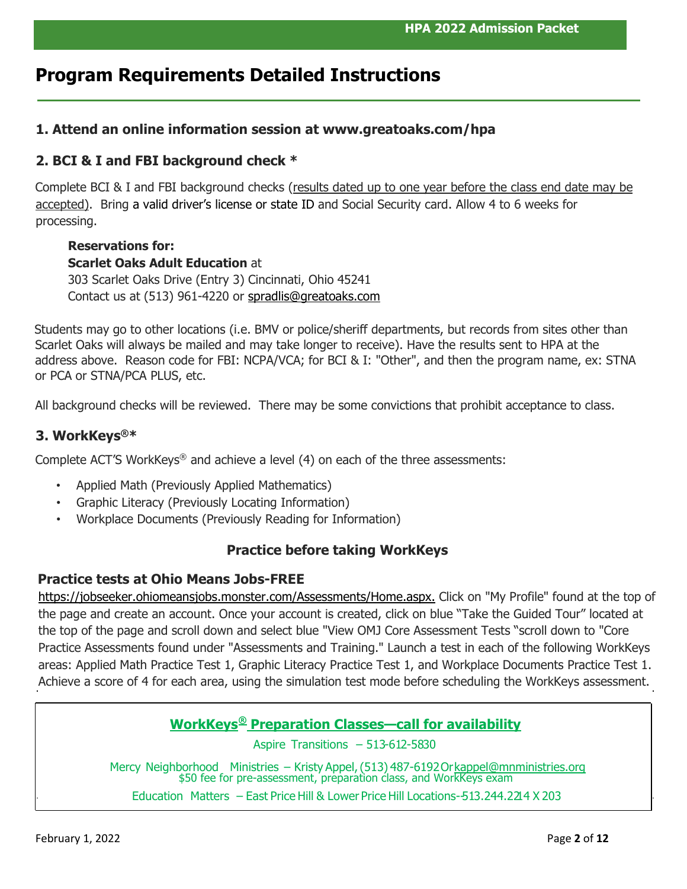# **Program Requirements Detailed Instructions**

## **1. Attend an online information session at www.greatoaks.com/hpa**

## **2. BCI & I and FBI background check \***

Complete BCI & I and FBI background checks (results dated up to one year before the class end date may be accepted). Bring a valid driver's license or state ID and Social Security card. Allow 4 to 6 weeks for processing.

## **Reservations for: Scarlet Oaks Adult Education** at 303 Scarlet Oaks Drive (Entry 3) Cincinnati, Ohio 45241 Contact us at (513) 961-4220 or [spradlis@greatoaks.com](mailto:spradlis@greatoaks.com)

Students may go to other locations (i.e. BMV or police/sheriff departments, but records from sites other than Scarlet Oaks will always be mailed and may take longer to receive). Have the results sent to HPA at the address above. Reason code for FBI: NCPA/VCA; for BCI & I: "Other", and then the program name, ex: STNA or PCA or STNA/PCA PLUS, etc.

All background checks will be reviewed. There may be some convictions that prohibit acceptance to class.

# **3. WorkKeys®\***

Complete ACT'S WorkKeys<sup>®</sup> and achieve a level  $(4)$  on each of the three assessments:

- Applied Math (Previously Applied Mathematics)
- Graphic Literacy (Previously Locating Information)
- Workplace Documents (Previously Reading for Information)

## **Practice before taking WorkKeys**

### **Practice tests at Ohio Means Jobs-FREE**

[https://jobseeker.ohiomeansjobs.monster.com/Assessments/H](https://jobseeker.ohiomeansjobs.monster.com/Assessments/)ome.aspx. Click on "My Profile" found at the top of the page and create an account. Once your account is created, click on blue "Take the Guided Tour" located at the top of the page and scroll down and select blue "View OMJ Core Assessment Tests "scroll down to "Core Practice Assessments found under "Assessments and Training." Launch a test in each of the following WorkKeys areas: Applied Math Practice Test 1, Graphic Literacy Practice Test 1, and Workplace Documents Practice Test 1. Achieve a score of 4 for each area, using the simulation test mode before scheduling the WorkKeys assessment.

# **WorkKeys® Preparation Classes—call for availability**

Aspire Transitions – 513-612-5830

Mercy Neighborhood Ministries – Kristy Appel, (513) 487-6192 Or kappel@mnministries.org<br>\$50 fee for pre-assessment, preparation class, and WorkKeys exam

Education Matters – East Price Hill & Lower Price Hill Locations--513.244.2214 X 203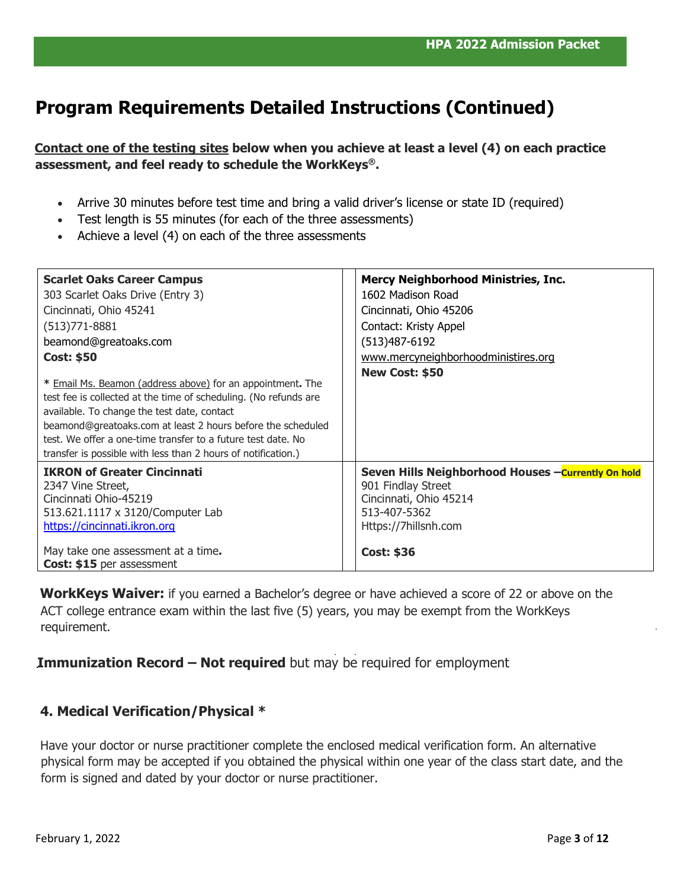# **Program Requirements Detailed Instructions (Continued)**

**Contact one of the testing sites below when you achieve at least a level (4) on each practice assessment, and feel ready to schedule the WorkKeys®.** 

- Arrive 30 minutes before test time and bring a valid driver's license or state ID (required)
- Test length is 55 minutes (for each of the three assessments)
- Achieve a level (4) on each of the three assessments

| <b>Scarlet Oaks Career Campus</b><br>303 Scarlet Oaks Drive (Entry 3)<br>Cincinnati, Ohio 45241<br>(513) 771 - 8881<br>beamond@greatoaks.com<br><b>Cost: \$50</b>                                                                                                                                                                                                             | <b>Mercy Neighborhood Ministries, Inc.</b><br>1602 Madison Road<br>Cincinnati, Ohio 45206<br>Contact: Kristy Appel<br>(513) 487-6192<br>www.mercyneighborhoodministires.org<br>New Cost: \$50 |
|-------------------------------------------------------------------------------------------------------------------------------------------------------------------------------------------------------------------------------------------------------------------------------------------------------------------------------------------------------------------------------|-----------------------------------------------------------------------------------------------------------------------------------------------------------------------------------------------|
| * Email Ms. Beamon (address above) for an appointment. The<br>test fee is collected at the time of scheduling. (No refunds are<br>available. To change the test date, contact<br>beamond@greatoaks.com at least 2 hours before the scheduled<br>test. We offer a one-time transfer to a future test date. No<br>transfer is possible with less than 2 hours of notification.) |                                                                                                                                                                                               |
| <b>IKRON of Greater Cincinnati</b><br>2347 Vine Street,<br>Cincinnati Ohio-45219<br>513.621.1117 x 3120/Computer Lab<br>https://cincinnati.ikron.org<br>May take one assessment at a time.<br>Cost: \$15 per assessment                                                                                                                                                       | Seven Hills Neighborhood Houses -Currently On hold<br>901 Findlay Street<br>Cincinnati, Ohio 45214<br>513-407-5362<br>Https://7hillsnh.com<br><b>Cost: \$36</b>                               |

**WorkKeys Waiver:** if you earned a Bachelor's degree or have achieved a score of 22 or above on the ACT college entrance exam within the last five (5) years, you may be exempt from the WorkKeys requirement.

**Immunization Record – Not required** but may be required for employment

## **4. Medical Verification/Physical \***

Have your doctor or nurse practitioner complete the enclosed medical verification form. An alternative physical form may be accepted if you obtained the physical within one year of the class start date, and the form is signed and dated by your doctor or nurse practitioner.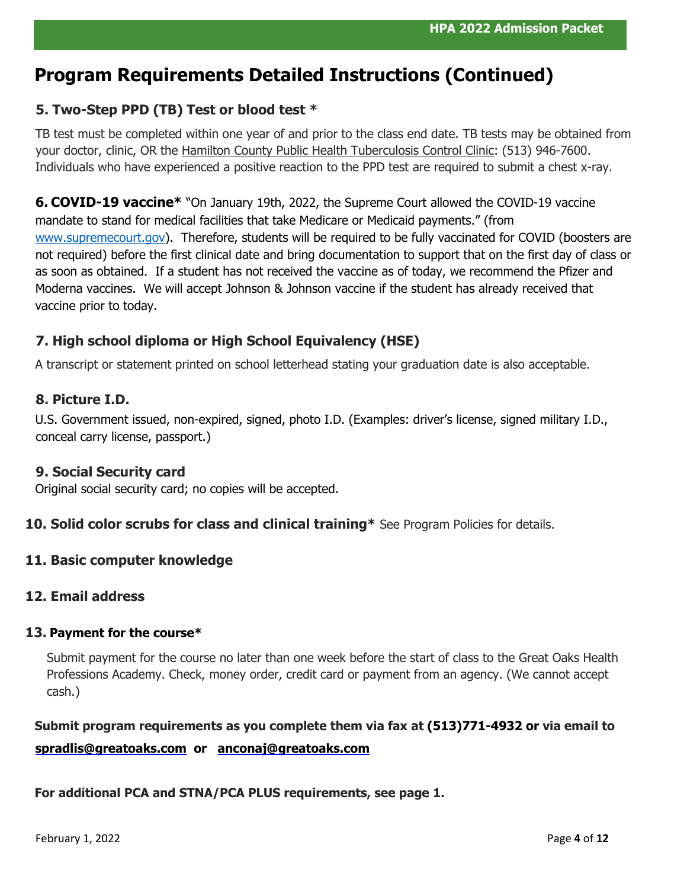# **Program Requirements Detailed Instructions (Continued)**

# **5. Two-Step PPD (TB) Test or blood test \***

TB test must be completed within one year of and prior to the class end date. TB tests may be obtained from your doctor, clinic, OR the Hamilton County Public Health Tuberculosis Control Clinic: (513) 946-7600. Individuals who have experienced a positive reaction to the PPD test are required to submit a chest x-ray.

**6. COVID-19 vaccine\*** "On January 19th, 2022, the Supreme Court allowed the COVID-19 vaccine mandate to stand for medical facilities that take Medicare or Medicaid payments." (from [www.supremecourt.gov\)](http://www.supremecourt.gov/). Therefore, students will be required to be fully vaccinated for COVID (boosters are not required) before the first clinical date and bring documentation to support that on the first day of class or as soon as obtained. If a student has not received the vaccine as of today, we recommend the Pfizer and Moderna vaccines. We will accept Johnson & Johnson vaccine if the student has already received that vaccine prior to today.

# **7. High school diploma or High School Equivalency (HSE)**

A transcript or statement printed on school letterhead stating your graduation date is also acceptable.

# **8. Picture I.D.**

U.S. Government issued, non-expired, signed, photo I.D. (Examples: driver's license, signed military I.D., conceal carry license, passport.)

## **9. Social Security card**

Original social security card; no copies will be accepted.

## **10. Solid color scrubs for class and clinical training\*** See Program Policies for details.

## **11. Basic computer knowledge**

## **12. Email address**

### **13. Payment for the course\***

Submit payment for the course no later than one week before the start of class to the Great Oaks Health Professions Academy. Check, money order, credit card or payment from an agency. (We cannot accept cash.)

# **Submit program requirements as you complete them via fax at (513)771-4932 or via email to [spradlis@greatoaks.com](mailto:spradlis@greatoaks.com) or [anconaj@greatoaks.com](mailto:anconaj@greatoaks.com)**

### **For additional PCA and STNA/PCA PLUS requirements, see page 1.**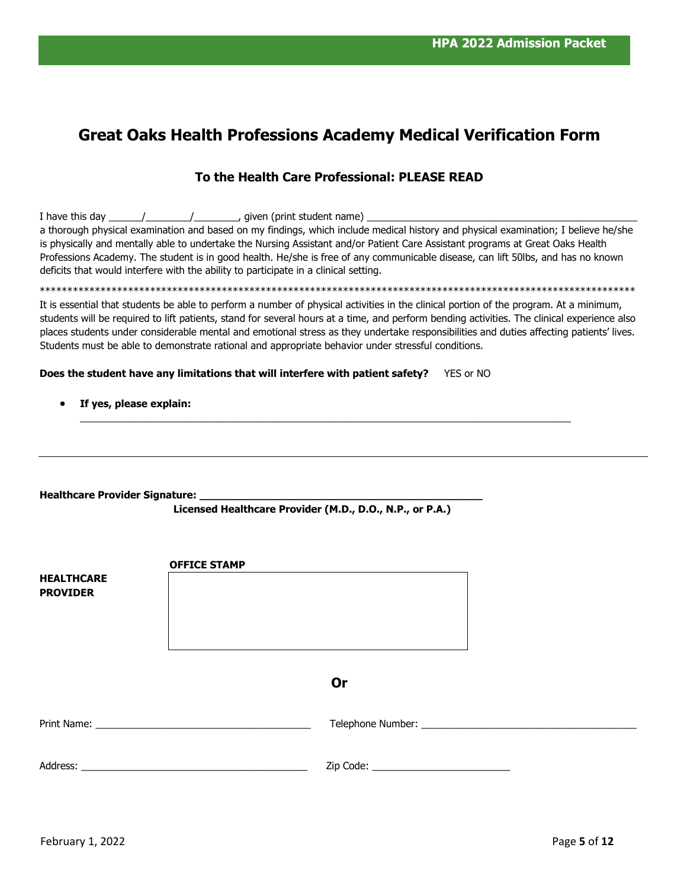# **Great Oaks Health Professions Academy Medical Verification Form**

# **To the Health Care Professional: PLEASE READ**

|                                          | a thorough physical examination and based on my findings, which include medical history and physical examination; I believe he/she<br>is physically and mentally able to undertake the Nursing Assistant and/or Patient Care Assistant programs at Great Oaks Health<br>Professions Academy. The student is in good health. He/she is free of any communicable disease, can lift 50lbs, and has no known                                                                                                                               |
|------------------------------------------|----------------------------------------------------------------------------------------------------------------------------------------------------------------------------------------------------------------------------------------------------------------------------------------------------------------------------------------------------------------------------------------------------------------------------------------------------------------------------------------------------------------------------------------|
|                                          | deficits that would interfere with the ability to participate in a clinical setting.                                                                                                                                                                                                                                                                                                                                                                                                                                                   |
|                                          |                                                                                                                                                                                                                                                                                                                                                                                                                                                                                                                                        |
|                                          | It is essential that students be able to perform a number of physical activities in the clinical portion of the program. At a minimum,<br>students will be required to lift patients, stand for several hours at a time, and perform bending activities. The clinical experience also<br>places students under considerable mental and emotional stress as they undertake responsibilities and duties affecting patients' lives.<br>Students must be able to demonstrate rational and appropriate behavior under stressful conditions. |
|                                          | Does the student have any limitations that will interfere with patient safety?<br>YES or NO                                                                                                                                                                                                                                                                                                                                                                                                                                            |
| If yes, please explain:                  |                                                                                                                                                                                                                                                                                                                                                                                                                                                                                                                                        |
|                                          |                                                                                                                                                                                                                                                                                                                                                                                                                                                                                                                                        |
|                                          |                                                                                                                                                                                                                                                                                                                                                                                                                                                                                                                                        |
|                                          |                                                                                                                                                                                                                                                                                                                                                                                                                                                                                                                                        |
| Healthcare Provider Signature: _________ |                                                                                                                                                                                                                                                                                                                                                                                                                                                                                                                                        |
|                                          | Licensed Healthcare Provider (M.D., D.O., N.P., or P.A.)                                                                                                                                                                                                                                                                                                                                                                                                                                                                               |
|                                          |                                                                                                                                                                                                                                                                                                                                                                                                                                                                                                                                        |
|                                          |                                                                                                                                                                                                                                                                                                                                                                                                                                                                                                                                        |
|                                          | <b>OFFICE STAMP</b>                                                                                                                                                                                                                                                                                                                                                                                                                                                                                                                    |
| <b>HEALTHCARE</b>                        |                                                                                                                                                                                                                                                                                                                                                                                                                                                                                                                                        |
| <b>PROVIDER</b>                          |                                                                                                                                                                                                                                                                                                                                                                                                                                                                                                                                        |
|                                          |                                                                                                                                                                                                                                                                                                                                                                                                                                                                                                                                        |
|                                          |                                                                                                                                                                                                                                                                                                                                                                                                                                                                                                                                        |
|                                          |                                                                                                                                                                                                                                                                                                                                                                                                                                                                                                                                        |
|                                          | <b>Or</b>                                                                                                                                                                                                                                                                                                                                                                                                                                                                                                                              |
|                                          |                                                                                                                                                                                                                                                                                                                                                                                                                                                                                                                                        |
|                                          |                                                                                                                                                                                                                                                                                                                                                                                                                                                                                                                                        |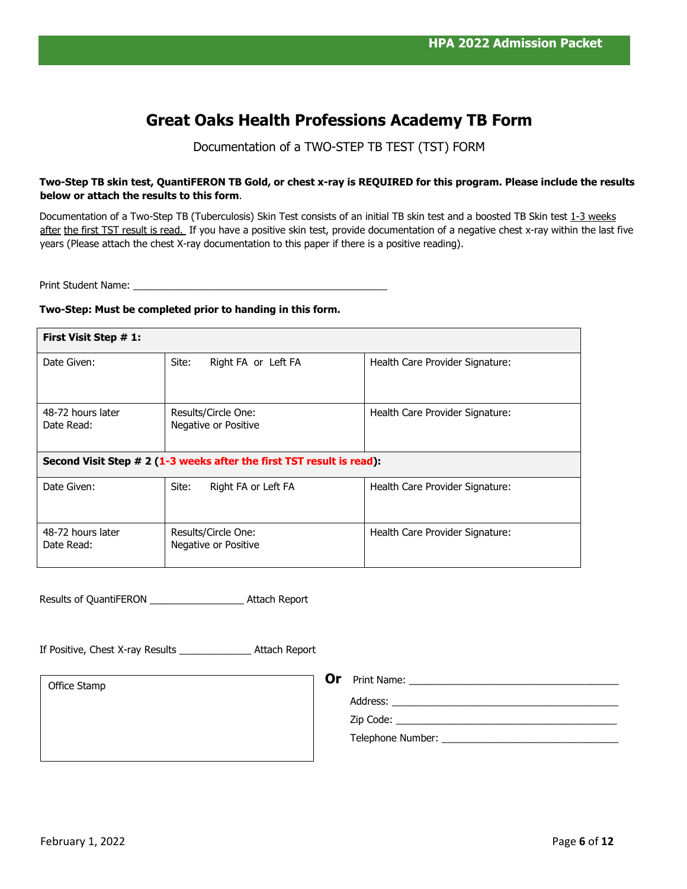# **Great Oaks Health Professions Academy TB Form**

Documentation of a TWO-STEP TB TEST (TST) FORM

#### **Two-Step TB skin test, QuantiFERON TB Gold, or chest x-ray is REQUIRED for this program. Please include the results below or attach the results to this form**.

Documentation of a Two-Step TB (Tuberculosis) Skin Test consists of an initial TB skin test and a boosted TB Skin test 1-3 weeks after the first TST result is read. If you have a positive skin test, provide documentation of a negative chest x-ray within the last five years (Please attach the chest X-ray documentation to this paper if there is a positive reading).

Print Student Name: \_\_\_\_\_\_

#### **Two-Step: Must be completed prior to handing in this form.**

| First Visit Step # 1:                                                 |                                             |                                 |  |
|-----------------------------------------------------------------------|---------------------------------------------|---------------------------------|--|
| Date Given:                                                           | Site:<br>Right FA or Left FA                | Health Care Provider Signature: |  |
| 48-72 hours later<br>Date Read:                                       | Results/Circle One:<br>Negative or Positive | Health Care Provider Signature: |  |
| Second Visit Step # 2 (1-3 weeks after the first TST result is read): |                                             |                                 |  |
| Date Given:                                                           | Site:<br>Right FA or Left FA                | Health Care Provider Signature: |  |
| 48-72 hours later<br>Date Read:                                       | Results/Circle One:<br>Negative or Positive | Health Care Provider Signature: |  |

Results of QuantiFERON \_\_\_\_\_\_\_\_\_\_\_\_\_\_\_\_\_ Attach Report

If Positive, Chest X-ray Results \_\_\_\_\_\_\_\_\_\_\_\_\_ Attach Report

Office Stamp

**Or** Print Name: \_\_\_\_\_\_\_\_\_\_\_\_\_\_\_\_\_\_\_\_\_\_\_\_\_\_\_\_\_\_\_\_\_\_\_\_\_\_

Address: \_\_\_\_\_\_\_\_\_\_\_\_\_\_\_\_\_\_\_\_\_\_\_\_\_\_\_\_\_\_\_\_\_\_\_\_\_\_\_\_\_

 $\mathsf{Zip}~\mathsf{Code:}\_\_\_\_\_\_\_\_\_\_\_\_\_\_\_\_\_\_\_$ 

Telephone Number: \_\_\_\_\_\_\_\_\_\_\_\_\_\_\_\_\_\_\_\_\_\_\_\_\_\_\_\_\_\_\_\_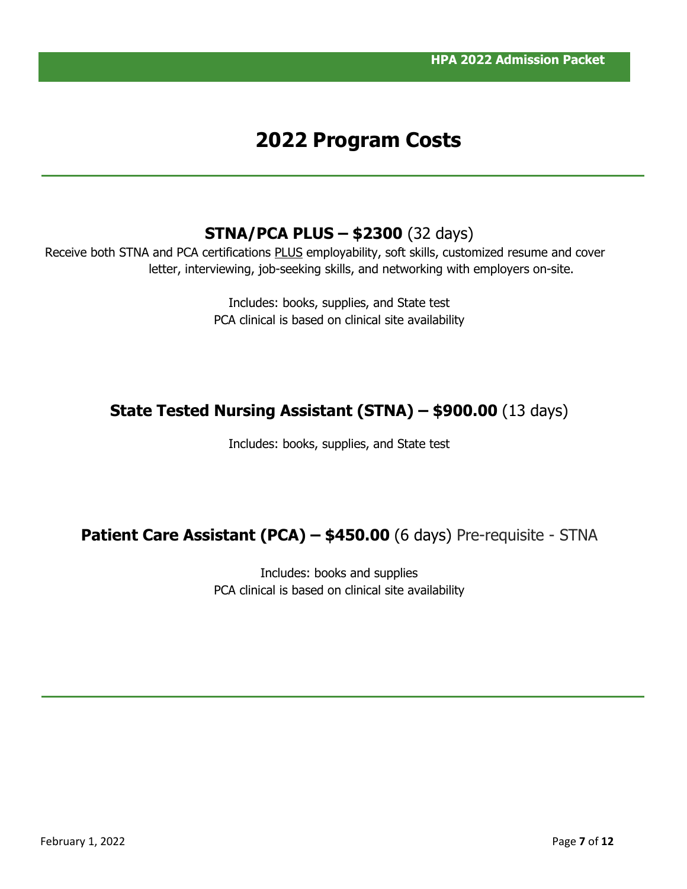# **2022 Program Costs**

# **STNA/PCA PLUS – \$2300** (32 days)

Receive both STNA and PCA certifications PLUS employability, soft skills, customized resume and cover letter, interviewing, job-seeking skills, and networking with employers on-site.

> Includes: books, supplies, and State test PCA clinical is based on clinical site availability

# **State Tested Nursing Assistant (STNA) – \$900.00** (13 days)

Includes: books, supplies, and State test

# **Patient Care Assistant (PCA) – \$450.00** (6 days) Pre-requisite - STNA

Includes: books and supplies PCA clinical is based on clinical site availability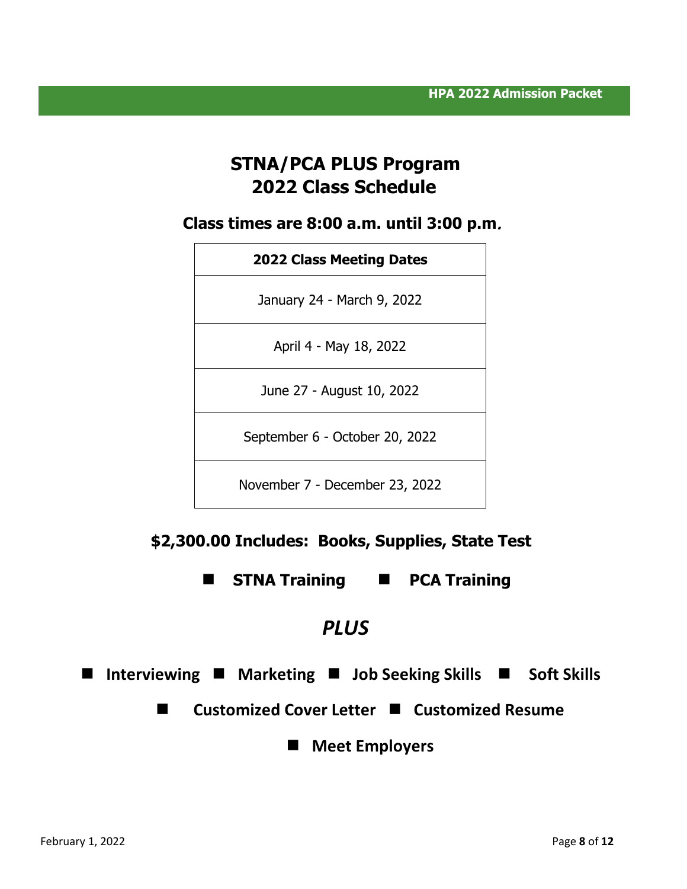# **STNA/PCA PLUS Program 2022 Class Schedule**

**Class times are 8:00 a.m. until 3:00 p.m**.

| <b>2022 Class Meeting Dates</b> |
|---------------------------------|
| January 24 - March 9, 2022      |
| April 4 - May 18, 2022          |
| June 27 - August 10, 2022       |
| September 6 - October 20, 2022  |
|                                 |

November 7 - December 23, 2022

# **\$2,300.00 Includes: Books, Supplies, State Test**

**STNA Training PCA Training**

# *PLUS*

**Interviewing Marketing Job Seeking Skills Soft Skills** 

■ Customized Cover Letter ■ Customized Resume

**Meet Employers**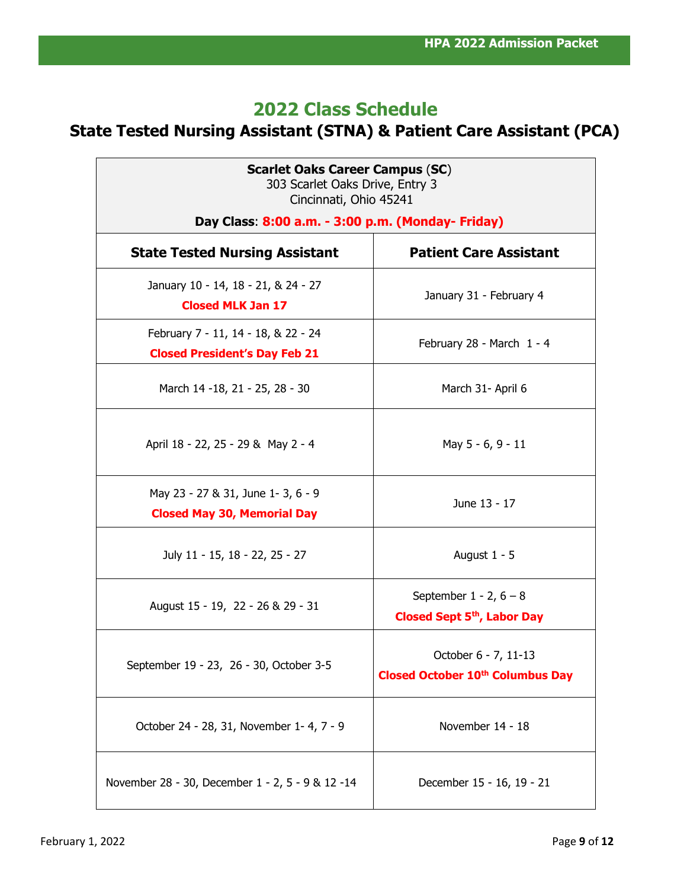# **2022 Class Schedule**

# **State Tested Nursing Assistant (STNA) & Patient Care Assistant (PCA)**

| <b>Scarlet Oaks Career Campus (SC)</b><br>303 Scarlet Oaks Drive, Entry 3<br>Cincinnati, Ohio 45241 |                                                                        |  |
|-----------------------------------------------------------------------------------------------------|------------------------------------------------------------------------|--|
| Day Class: 8:00 a.m. - 3:00 p.m. (Monday- Friday)                                                   |                                                                        |  |
| <b>State Tested Nursing Assistant</b>                                                               | <b>Patient Care Assistant</b>                                          |  |
| January 10 - 14, 18 - 21, & 24 - 27<br><b>Closed MLK Jan 17</b>                                     | January 31 - February 4                                                |  |
| February 7 - 11, 14 - 18, & 22 - 24<br><b>Closed President's Day Feb 21</b>                         | February 28 - March 1 - 4                                              |  |
| March 14 - 18, 21 - 25, 28 - 30                                                                     | March 31- April 6                                                      |  |
| April 18 - 22, 25 - 29 & May 2 - 4                                                                  | May 5 - 6, 9 - 11                                                      |  |
| May 23 - 27 & 31, June 1-3, 6 - 9<br><b>Closed May 30, Memorial Day</b>                             | June 13 - 17                                                           |  |
| July 11 - 15, 18 - 22, 25 - 27                                                                      | August $1 - 5$                                                         |  |
| August 15 - 19, 22 - 26 & 29 - 31                                                                   | September $1 - 2$ , $6 - 8$<br>Closed Sept 5 <sup>th</sup> , Labor Day |  |
| September 19 - 23, 26 - 30, October 3-5                                                             | October 6 - 7, 11-13<br><b>Closed October 10th Columbus Day</b>        |  |
| October 24 - 28, 31, November 1-4, 7 - 9                                                            | November 14 - 18                                                       |  |
| November 28 - 30, December 1 - 2, 5 - 9 & 12 -14                                                    | December 15 - 16, 19 - 21                                              |  |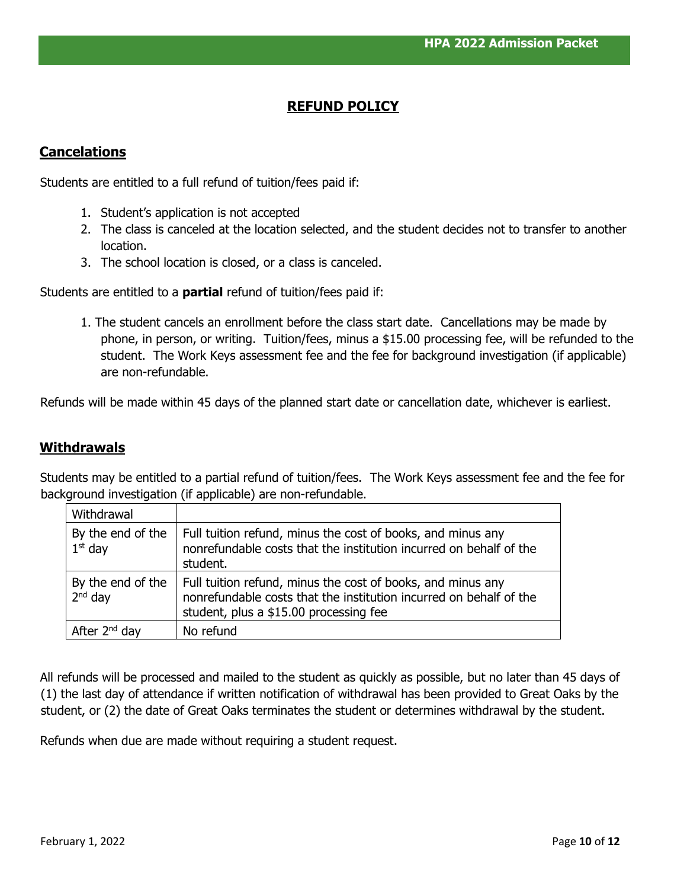# **REFUND POLICY**

### **Cancelations**

Students are entitled to a full refund of tuition/fees paid if:

- 1. Student's application is not accepted
- 2. The class is canceled at the location selected, and the student decides not to transfer to another location.
- 3. The school location is closed, or a class is canceled.

Students are entitled to a **partial** refund of tuition/fees paid if:

1. The student cancels an enrollment before the class start date. Cancellations may be made by phone, in person, or writing. Tuition/fees, minus a \$15.00 processing fee, will be refunded to the student. The Work Keys assessment fee and the fee for background investigation (if applicable) are non-refundable.

Refunds will be made within 45 days of the planned start date or cancellation date, whichever is earliest.

### **Withdrawals**

Students may be entitled to a partial refund of tuition/fees. The Work Keys assessment fee and the fee for background investigation (if applicable) are non-refundable.

| Withdrawal                     |                                                                                                                                                                             |
|--------------------------------|-----------------------------------------------------------------------------------------------------------------------------------------------------------------------------|
| By the end of the<br>$1st$ day | Full tuition refund, minus the cost of books, and minus any<br>nonrefundable costs that the institution incurred on behalf of the<br>student.                               |
| By the end of the<br>$2nd$ day | Full tuition refund, minus the cost of books, and minus any<br>nonrefundable costs that the institution incurred on behalf of the<br>student, plus a \$15.00 processing fee |
| After 2 <sup>nd</sup> day      | No refund                                                                                                                                                                   |

All refunds will be processed and mailed to the student as quickly as possible, but no later than 45 days of (1) the last day of attendance if written notification of withdrawal has been provided to Great Oaks by the student, or (2) the date of Great Oaks terminates the student or determines withdrawal by the student.

Refunds when due are made without requiring a student request.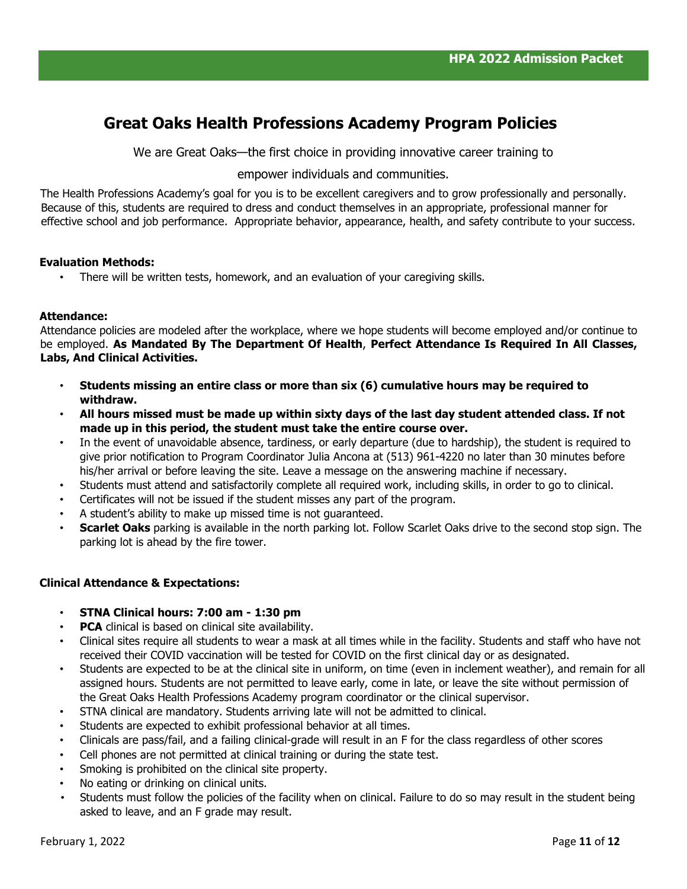# **Great Oaks Health Professions Academy Program Policies**

We are Great Oaks—the first choice in providing innovative career training to

empower individuals and communities.

The Health Professions Academy's goal for you is to be excellent caregivers and to grow professionally and personally. Because of this, students are required to dress and conduct themselves in an appropriate, professional manner for effective school and job performance. Appropriate behavior, appearance, health, and safety contribute to your success.

#### **Evaluation Methods:**

There will be written tests, homework, and an evaluation of your caregiving skills.

#### **Attendance:**

Attendance policies are modeled after the workplace, where we hope students will become employed and/or continue to be employed. **As Mandated By The Department Of Health**, **Perfect Attendance Is Required In All Classes, Labs, And Clinical Activities.** 

- **Students missing an entire class or more than six (6) cumulative hours may be required to withdraw.**
- **All hours missed must be made up within sixty days of the last day student attended class. If not made up in this period, the student must take the entire course over.**
- In the event of unavoidable absence, tardiness, or early departure (due to hardship), the student is required to give prior notification to Program Coordinator Julia Ancona at (513) 961-4220 no later than 30 minutes before his/her arrival or before leaving the site. Leave a message on the answering machine if necessary.
- Students must attend and satisfactorily complete all required work, including skills, in order to go to clinical.
- Certificates will not be issued if the student misses any part of the program.
- A student's ability to make up missed time is not quaranteed.
- **Scarlet Oaks** parking is available in the north parking lot. Follow Scarlet Oaks drive to the second stop sign. The parking lot is ahead by the fire tower.

#### **Clinical Attendance & Expectations:**

- **STNA Clinical hours: 7:00 am - 1:30 pm**
- **PCA** clinical is based on clinical site availability.
- Clinical sites require all students to wear a mask at all times while in the facility. Students and staff who have not received their COVID vaccination will be tested for COVID on the first clinical day or as designated.
- Students are expected to be at the clinical site in uniform, on time (even in inclement weather), and remain for all assigned hours. Students are not permitted to leave early, come in late, or leave the site without permission of the Great Oaks Health Professions Academy program coordinator or the clinical supervisor.
- STNA clinical are mandatory. Students arriving late will not be admitted to clinical.
- Students are expected to exhibit professional behavior at all times.
- Clinicals are pass/fail, and a failing clinical-grade will result in an F for the class regardless of other scores
- Cell phones are not permitted at clinical training or during the state test.
- Smoking is prohibited on the clinical site property.
- No eating or drinking on clinical units.
- Students must follow the policies of the facility when on clinical. Failure to do so may result in the student being asked to leave, and an F grade may result.